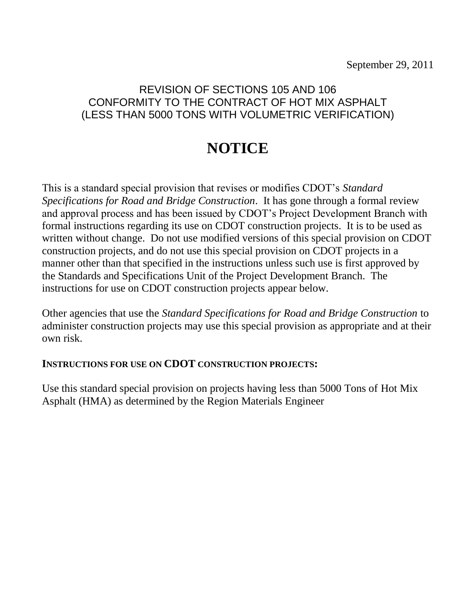# **NOTICE**

This is a standard special provision that revises or modifies CDOT's *Standard Specifications for Road and Bridge Construction*. It has gone through a formal review and approval process and has been issued by CDOT's Project Development Branch with formal instructions regarding its use on CDOT construction projects. It is to be used as written without change. Do not use modified versions of this special provision on CDOT construction projects, and do not use this special provision on CDOT projects in a manner other than that specified in the instructions unless such use is first approved by the Standards and Specifications Unit of the Project Development Branch. The instructions for use on CDOT construction projects appear below.

Other agencies that use the *Standard Specifications for Road and Bridge Construction* to administer construction projects may use this special provision as appropriate and at their own risk.

### **INSTRUCTIONS FOR USE ON CDOT CONSTRUCTION PROJECTS:**

Use this standard special provision on projects having less than 5000 Tons of Hot Mix Asphalt (HMA) as determined by the Region Materials Engineer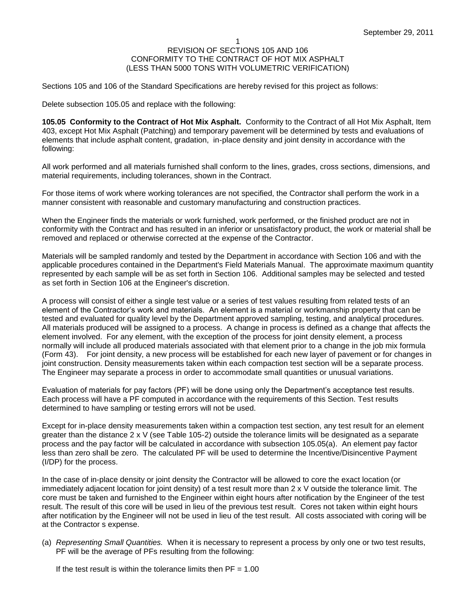Sections 105 and 106 of the Standard Specifications are hereby revised for this project as follows:

Delete subsection 105.05 and replace with the following:

**105.05 Conformity to the Contract of Hot Mix Asphalt.** Conformity to the Contract of all Hot Mix Asphalt, Item 403, except Hot Mix Asphalt (Patching) and temporary pavement will be determined by tests and evaluations of elements that include asphalt content, gradation, in-place density and joint density in accordance with the following:

All work performed and all materials furnished shall conform to the lines, grades, cross sections, dimensions, and material requirements, including tolerances, shown in the Contract.

For those items of work where working tolerances are not specified, the Contractor shall perform the work in a manner consistent with reasonable and customary manufacturing and construction practices.

When the Engineer finds the materials or work furnished, work performed, or the finished product are not in conformity with the Contract and has resulted in an inferior or unsatisfactory product, the work or material shall be removed and replaced or otherwise corrected at the expense of the Contractor.

Materials will be sampled randomly and tested by the Department in accordance with Section 106 and with the applicable procedures contained in the Department's Field Materials Manual. The approximate maximum quantity represented by each sample will be as set forth in Section 106. Additional samples may be selected and tested as set forth in Section 106 at the Engineer's discretion.

A process will consist of either a single test value or a series of test values resulting from related tests of an element of the Contractor's work and materials. An element is a material or workmanship property that can be tested and evaluated for quality level by the Department approved sampling, testing, and analytical procedures. All materials produced will be assigned to a process. A change in process is defined as a change that affects the element involved. For any element, with the exception of the process for joint density element, a process normally will include all produced materials associated with that element prior to a change in the job mix formula (Form 43). For joint density, a new process will be established for each new layer of pavement or for changes in joint construction. Density measurements taken within each compaction test section will be a separate process. The Engineer may separate a process in order to accommodate small quantities or unusual variations.

Evaluation of materials for pay factors (PF) will be done using only the Department's acceptance test results. Each process will have a PF computed in accordance with the requirements of this Section. Test results determined to have sampling or testing errors will not be used.

Except for in-place density measurements taken within a compaction test section, any test result for an element greater than the distance 2 x V (see Table 105-2) outside the tolerance limits will be designated as a separate process and the pay factor will be calculated in accordance with subsection 105.05(a). An element pay factor less than zero shall be zero. The calculated PF will be used to determine the Incentive/Disincentive Payment (I/DP) for the process.

In the case of in-place density or joint density the Contractor will be allowed to core the exact location (or immediately adjacent location for joint density) of a test result more than 2 x V outside the tolerance limit. The core must be taken and furnished to the Engineer within eight hours after notification by the Engineer of the test result. The result of this core will be used in lieu of the previous test result. Cores not taken within eight hours after notification by the Engineer will not be used in lieu of the test result. All costs associated with coring will be at the Contractor s expense.

(a) *Representing Small Quantities.* When it is necessary to represent a process by only one or two test results, PF will be the average of PFs resulting from the following:

If the test result is within the tolerance limits then  $PF = 1.00$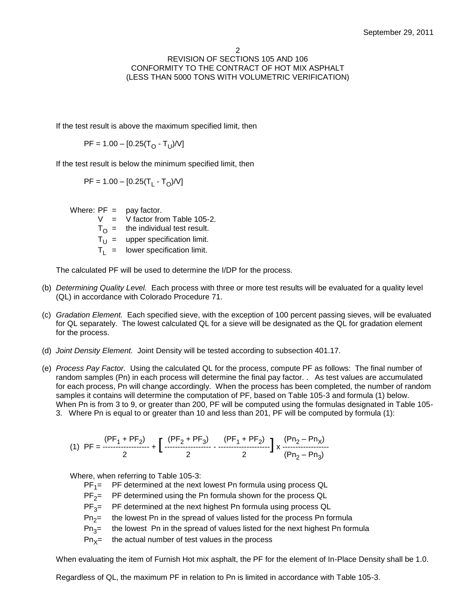If the test result is above the maximum specified limit, then

 $\mathsf{PF} = 1.00 - [0.25(\mathsf{T_{O}}\cdot\mathsf{T_{U}})/\mathsf{V}]$ 

If the test result is below the minimum specified limit, then

PF = 1.00 – [0.25(T<sub>L</sub> - T<sub>O</sub>)/V]

Where:  $PF = pay factor$ .

 $V = V$  factor from Table 105-2.

 $T_{\Omega}$  = the individual test result.

 $T_U$  = upper specification limit.

 $T_L$  = lower specification limit.

The calculated PF will be used to determine the I/DP for the process.

- (b) *Determining Quality Level.* Each process with three or more test results will be evaluated for a quality level (QL) in accordance with Colorado Procedure 71.
- (c) *Gradation Element.* Each specified sieve, with the exception of 100 percent passing sieves, will be evaluated for QL separately. The lowest calculated QL for a sieve will be designated as the QL for gradation element for the process.
- (d) *Joint Density Element.* Joint Density will be tested according to subsection 401.17.
- (e) *Process Pay Factor.* Using the calculated QL for the process, compute PF as follows: The final number of random samples (Pn) in each process will determine the final pay factor. . As test values are accumulated for each process, Pn will change accordingly. When the process has been completed, the number of random samples it contains will determine the computation of PF, based on Table 105-3 and formula (1) below. When Pn is from 3 to 9, or greater than 200, PF will be computed using the formulas designated in Table 105- 3. Where Pn is equal to or greater than 10 and less than 201, PF will be computed by formula (1):

$$
(1) PF = \frac{(PF_1 + PF_2)}{2} + \left[ \begin{array}{cc} (PF_2 + PF_3) & (PF_1 + PF_2) \\ \cdots \\ 2 & 2 \end{array} \right] \times \frac{(Pn_2 - Pn_X)}{(Pn_2 - Pn_3)}
$$

Where, when referring to Table 105-3:

PF<sub>1</sub>= PF determined at the next lowest Pn formula using process QL

 $PF_{2}$ PF determined using the Pn formula shown for the process QL

 $PF_3 =$ PF determined at the next highest Pn formula using process QL

- $Pn<sub>2</sub>=$ the lowest Pn in the spread of values listed for the process Pn formula
- $Pn_{3}$ = the lowest Pn in the spread of values listed for the next highest Pn formula
- $Pn_{x}$ = the actual number of test values in the process

When evaluating the item of Furnish Hot mix asphalt, the PF for the element of In-Place Density shall be 1.0.

Regardless of QL, the maximum PF in relation to Pn is limited in accordance with Table 105-3.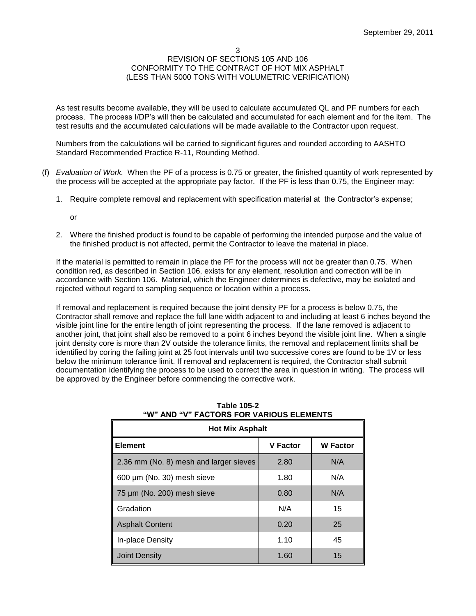As test results become available, they will be used to calculate accumulated QL and PF numbers for each process. The process I/DP's will then be calculated and accumulated for each element and for the item. The test results and the accumulated calculations will be made available to the Contractor upon request.

Numbers from the calculations will be carried to significant figures and rounded according to AASHTO Standard Recommended Practice R-11, Rounding Method.

- (f) *Evaluation of Work.* When the PF of a process is 0.75 or greater, the finished quantity of work represented by the process will be accepted at the appropriate pay factor. If the PF is less than 0.75, the Engineer may:
	- 1. Require complete removal and replacement with specification material at the Contractor's expense;

or

2. Where the finished product is found to be capable of performing the intended purpose and the value of the finished product is not affected, permit the Contractor to leave the material in place.

If the material is permitted to remain in place the PF for the process will not be greater than 0.75. When condition red, as described in Section 106, exists for any element, resolution and correction will be in accordance with Section 106. Material, which the Engineer determines is defective, may be isolated and rejected without regard to sampling sequence or location within a process.

If removal and replacement is required because the joint density PF for a process is below 0.75, the Contractor shall remove and replace the full lane width adjacent to and including at least 6 inches beyond the visible joint line for the entire length of joint representing the process. If the lane removed is adjacent to another joint, that joint shall also be removed to a point 6 inches beyond the visible joint line. When a single joint density core is more than 2V outside the tolerance limits, the removal and replacement limits shall be identified by coring the failing joint at 25 foot intervals until two successive cores are found to be 1V or less below the minimum tolerance limit. If removal and replacement is required, the Contractor shall submit documentation identifying the process to be used to correct the area in question in writing. The process will be approved by the Engineer before commencing the corrective work.

| <b>Hot Mix Asphalt</b>                 |                 |                 |  |
|----------------------------------------|-----------------|-----------------|--|
| <b>Element</b>                         | <b>V</b> Factor | <b>W</b> Factor |  |
| 2.36 mm (No. 8) mesh and larger sieves | 2.80            | N/A             |  |
| 600 µm (No. 30) mesh sieve             | 1.80            | N/A             |  |
| 75 µm (No. 200) mesh sieve             | 0.80            | N/A             |  |
| Gradation                              | N/A             | 15              |  |
| <b>Asphalt Content</b>                 | 0.20            | 25              |  |
| In-place Density                       | 1.10            | 45              |  |
| Joint Density                          | 1.60            | 15              |  |

### **Table 105-2 "W" AND "V" FACTORS FOR VARIOUS ELEMENTS**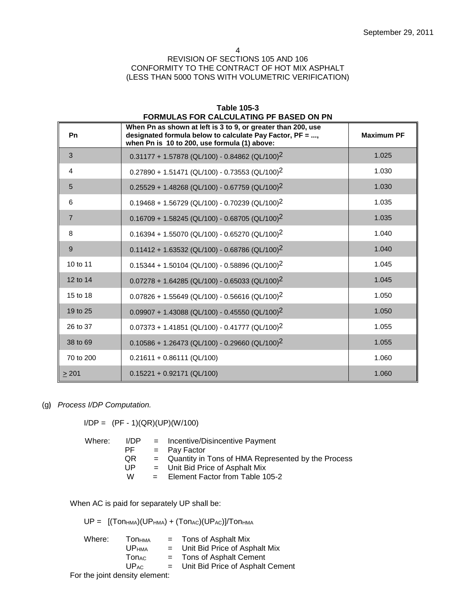4

### REVISION OF SECTIONS 105 AND 106 CONFORMITY TO THE CONTRACT OF HOT MIX ASPHALT (LESS THAN 5000 TONS WITH VOLUMETRIC VERIFICATION)

| Pn             | When Pn as shown at left is 3 to 9, or greater than 200, use<br>designated formula below to calculate Pay Factor, PF = ,<br>when Pn is 10 to 200, use formula (1) above: | <b>Maximum PF</b> |
|----------------|--------------------------------------------------------------------------------------------------------------------------------------------------------------------------|-------------------|
| 3              | $0.31177 + 1.57878$ (QL/100) - 0.84862 (QL/100) <sup>2</sup>                                                                                                             | 1.025             |
| 4              | $0.27890 + 1.51471$ (QL/100) - 0.73553 (QL/100) <sup>2</sup>                                                                                                             | 1.030             |
| 5              | $0.25529 + 1.48268$ (QL/100) - 0.67759 (QL/100) <sup>2</sup>                                                                                                             | 1.030             |
| 6              | $0.19468 + 1.56729$ (QL/100) - 0.70239 (QL/100) <sup>2</sup>                                                                                                             | 1.035             |
| $\overline{7}$ | $0.16709 + 1.58245$ (QL/100) - 0.68705 (QL/100) <sup>2</sup>                                                                                                             | 1.035             |
| 8              | $0.16394 + 1.55070$ (QL/100) - 0.65270 (QL/100) <sup>2</sup>                                                                                                             | 1.040             |
| 9              | $0.11412 + 1.63532$ (QL/100) - 0.68786 (QL/100) <sup>2</sup>                                                                                                             | 1.040             |
| 10 to 11       | $0.15344 + 1.50104$ (QL/100) - 0.58896 (QL/100) <sup>2</sup>                                                                                                             | 1.045             |
| 12 to 14       | $0.07278 + 1.64285$ (QL/100) - 0.65033 (QL/100) <sup>2</sup>                                                                                                             | 1.045             |
| 15 to 18       | $0.07826 + 1.55649$ (QL/100) - 0.56616 (QL/100) <sup>2</sup>                                                                                                             | 1.050             |
| 19 to 25       | $0.09907 + 1.43088$ (QL/100) - 0.45550 (QL/100) <sup>2</sup>                                                                                                             | 1.050             |
| 26 to 37       | $0.07373 + 1.41851$ (QL/100) - 0.41777 (QL/100) <sup>2</sup>                                                                                                             | 1.055             |
| 38 to 69       | $0.10586 + 1.26473$ (QL/100) - 0.29660 (QL/100) <sup>2</sup>                                                                                                             | 1.055             |
| 70 to 200      | $0.21611 + 0.86111$ (QL/100)                                                                                                                                             | 1.060             |
| $\geq 201$     | $0.15221 + 0.92171$ (QL/100)                                                                                                                                             | 1.060             |

### **Table 105-3 FORMULAS FOR CALCULATING PF BASED ON PN**

(g**)** *Process I/DP Computation.*

 $I/DP = (PF - 1)(QR)(UP)(W/100)$ 

| Where: | I/DP. | $=$ Incentive/Disincentive Payment                   |
|--------|-------|------------------------------------------------------|
|        | PF    | $=$ Pay Factor                                       |
|        | QR.   | = Quantity in Tons of HMA Represented by the Process |
|        | UP    | $=$ Unit Bid Price of Asphalt Mix                    |
|        | w     | = Element Factor from Table 105-2                    |
|        |       |                                                      |

When AC is paid for separately UP shall be:

 $UP =$   $[(Tom_{HMA})(UP_{HMA}) + (Ton_{AC})(UP_{AC})]/Tom_{HMA}$ 

| Where: | Ton <sub>нма</sub> | $=$ | Tons of Asphalt Mix              |
|--------|--------------------|-----|----------------------------------|
|        | <b>UP</b> HMA      | $=$ | Unit Bid Price of Asphalt Mix    |
|        | <b>Ton</b> ac      | $=$ | Tons of Asphalt Cement           |
|        | $UP_{AC}$          | $=$ | Unit Bid Price of Asphalt Cement |
|        |                    |     |                                  |

For the joint density element: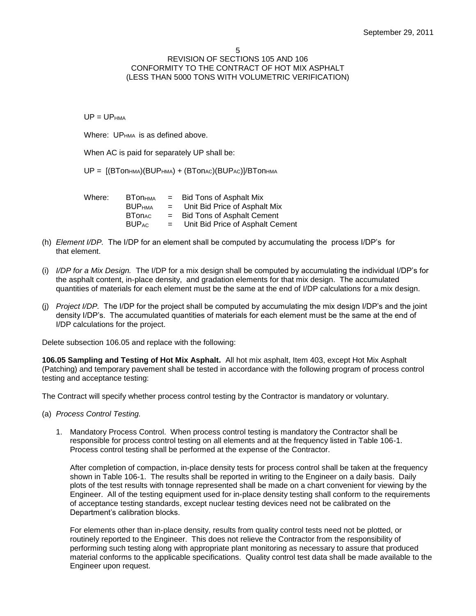#### 5

### REVISION OF SECTIONS 105 AND 106 CONFORMITY TO THE CONTRACT OF HOT MIX ASPHALT (LESS THAN 5000 TONS WITH VOLUMETRIC VERIFICATION)

 $UP = UP_{HMA}$ 

Where: UP<sub>HMA</sub> is as defined above.

When AC is paid for separately UP shall be:

 $UP = [(BTon<sub>HMA</sub>)(BUP<sub>HMA</sub>) + (BTon<sub>AC</sub>)(BUP<sub>AC</sub>)]/BTon<sub>HMA</sub>$ 

| Where: | <b>BTONHMA</b> | $=$ | Bid Tons of Asphalt Mix           |
|--------|----------------|-----|-----------------------------------|
|        | <b>BUPHMA</b>  | $=$ | Unit Bid Price of Asphalt Mix     |
|        | <b>BTonAC</b>  | $=$ | <b>Bid Tons of Asphalt Cement</b> |
|        | <b>BUPAC</b>   | $=$ | Unit Bid Price of Asphalt Cement  |

- (h) *Element I/DP.* The I/DP for an element shall be computed by accumulating the process I/DP's for that element.
- (i) *I/DP for a Mix Design.* The I/DP for a mix design shall be computed by accumulating the individual I/DP's for the asphalt content, in-place density, and gradation elements for that mix design. The accumulated quantities of materials for each element must be the same at the end of I/DP calculations for a mix design.
- (j) *Project I/DP.* The I/DP for the project shall be computed by accumulating the mix design I/DP's and the joint density I/DP's. The accumulated quantities of materials for each element must be the same at the end of I/DP calculations for the project.

Delete subsection 106.05 and replace with the following:

**106.05 Sampling and Testing of Hot Mix Asphalt.** All hot mix asphalt, Item 403, except Hot Mix Asphalt (Patching) and temporary pavement shall be tested in accordance with the following program of process control testing and acceptance testing:

The Contract will specify whether process control testing by the Contractor is mandatory or voluntary.

- (a) *Process Control Testing.*
	- 1. Mandatory Process Control. When process control testing is mandatory the Contractor shall be responsible for process control testing on all elements and at the frequency listed in Table 106-1. Process control testing shall be performed at the expense of the Contractor.

After completion of compaction, in-place density tests for process control shall be taken at the frequency shown in Table 106-1. The results shall be reported in writing to the Engineer on a daily basis. Daily plots of the test results with tonnage represented shall be made on a chart convenient for viewing by the Engineer. All of the testing equipment used for in-place density testing shall conform to the requirements of acceptance testing standards, except nuclear testing devices need not be calibrated on the Department's calibration blocks.

For elements other than in-place density, results from quality control tests need not be plotted, or routinely reported to the Engineer. This does not relieve the Contractor from the responsibility of performing such testing along with appropriate plant monitoring as necessary to assure that produced material conforms to the applicable specifications. Quality control test data shall be made available to the Engineer upon request.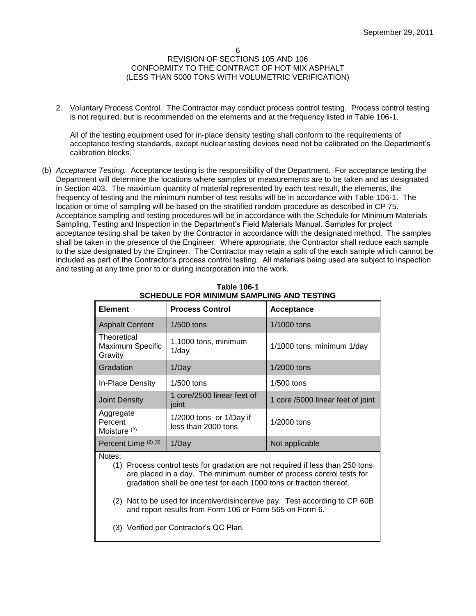2. Voluntary Process Control. The Contractor may conduct process control testing. Process control testing is not required, but is recommended on the elements and at the frequency listed in Table 106-1.

All of the testing equipment used for in-place density testing shall conform to the requirements of acceptance testing standards, except nuclear testing devices need not be calibrated on the Department's calibration blocks.

(b) *Acceptance Testing.* Acceptance testing is the responsibility of the Department. For acceptance testing the Department will determine the locations where samples or measurements are to be taken and as designated in Section 403. The maximum quantity of material represented by each test result, the elements, the frequency of testing and the minimum number of test results will be in accordance with Table 106-1. The location or time of sampling will be based on the stratified random procedure as described in CP 75. Acceptance sampling and testing procedures will be in accordance with the Schedule for Minimum Materials Sampling, Testing and Inspection in the Department's Field Materials Manual. Samples for project acceptance testing shall be taken by the Contractor in accordance with the designated method. The samples shall be taken in the presence of the Engineer. Where appropriate, the Contractor shall reduce each sample to the size designated by the Engineer. The Contractor may retain a split of the each sample which cannot be included as part of the Contractor's process control testing. All materials being used are subject to inspection and testing at any time prior to or during incorporation into the work.

| <b>Element</b>                                                                                                                                                                                                                                                                                                                                                                    | <b>Process Control</b>                         | Acceptance                        |  |  |
|-----------------------------------------------------------------------------------------------------------------------------------------------------------------------------------------------------------------------------------------------------------------------------------------------------------------------------------------------------------------------------------|------------------------------------------------|-----------------------------------|--|--|
| <b>Asphalt Content</b>                                                                                                                                                                                                                                                                                                                                                            | $1/500$ tons                                   | 1/1000 tons                       |  |  |
| Theoretical<br>Maximum Specific<br>Gravity                                                                                                                                                                                                                                                                                                                                        | 1.1000 tons, minimum<br>$1$ /day               | 1/1000 tons, minimum 1/day        |  |  |
| Gradation                                                                                                                                                                                                                                                                                                                                                                         | 1/Day                                          | 1/2000 tons                       |  |  |
| In-Place Density                                                                                                                                                                                                                                                                                                                                                                  | 1/500 tons                                     | $1/500$ tons                      |  |  |
| <b>Joint Density</b>                                                                                                                                                                                                                                                                                                                                                              | 1 core/2500 linear feet of<br>joint            | 1 core /5000 linear feet of joint |  |  |
| Aggregate<br>Percent<br>Moisture <sup>(2)</sup>                                                                                                                                                                                                                                                                                                                                   | 1/2000 tons or 1/Day if<br>less than 2000 tons | 1/2000 tons                       |  |  |
| Percent Lime (2) (3)                                                                                                                                                                                                                                                                                                                                                              | 1/Day                                          | Not applicable                    |  |  |
| Notes:<br>(1) Process control tests for gradation are not required if less than 250 tons<br>are placed in a day. The minimum number of process control tests for<br>gradation shall be one test for each 1000 tons or fraction thereof.<br>(2) Not to be used for incentive/disincentive pay. Test according to CP 60B<br>and report results from Form 106 or Form 565 on Form 6. |                                                |                                   |  |  |
| (3) Verified per Contractor's QC Plan.                                                                                                                                                                                                                                                                                                                                            |                                                |                                   |  |  |

**Table 106-1 SCHEDULE FOR MINIMUM SAMPLING AND TESTING**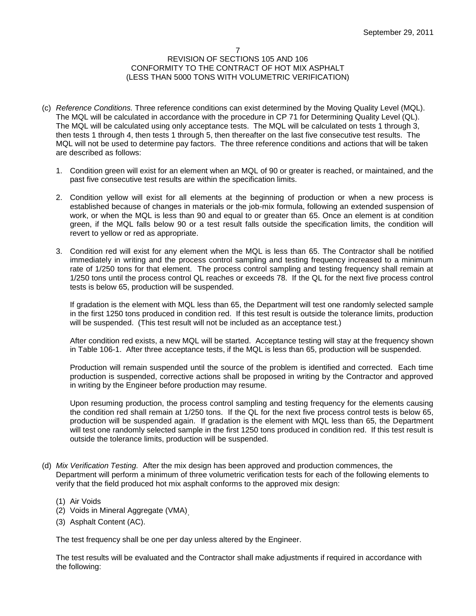- (c) *Reference Conditions.* Three reference conditions can exist determined by the Moving Quality Level (MQL). The MQL will be calculated in accordance with the procedure in CP 71 for Determining Quality Level (QL). The MQL will be calculated using only acceptance tests. The MQL will be calculated on tests 1 through 3, then tests 1 through 4, then tests 1 through 5, then thereafter on the last five consecutive test results. The MQL will not be used to determine pay factors. The three reference conditions and actions that will be taken are described as follows:
	- 1. Condition green will exist for an element when an MQL of 90 or greater is reached, or maintained, and the past five consecutive test results are within the specification limits.
	- 2. Condition yellow will exist for all elements at the beginning of production or when a new process is established because of changes in materials or the job-mix formula, following an extended suspension of work, or when the MQL is less than 90 and equal to or greater than 65. Once an element is at condition green, if the MQL falls below 90 or a test result falls outside the specification limits, the condition will revert to yellow or red as appropriate.
	- 3. Condition red will exist for any element when the MQL is less than 65. The Contractor shall be notified immediately in writing and the process control sampling and testing frequency increased to a minimum rate of 1/250 tons for that element. The process control sampling and testing frequency shall remain at 1/250 tons until the process control QL reaches or exceeds 78. If the QL for the next five process control tests is below 65, production will be suspended.

If gradation is the element with MQL less than 65, the Department will test one randomly selected sample in the first 1250 tons produced in condition red. If this test result is outside the tolerance limits, production will be suspended. (This test result will not be included as an acceptance test.)

After condition red exists, a new MQL will be started. Acceptance testing will stay at the frequency shown in Table 106-1. After three acceptance tests, if the MQL is less than 65, production will be suspended.

Production will remain suspended until the source of the problem is identified and corrected. Each time production is suspended, corrective actions shall be proposed in writing by the Contractor and approved in writing by the Engineer before production may resume.

Upon resuming production, the process control sampling and testing frequency for the elements causing the condition red shall remain at 1/250 tons. If the QL for the next five process control tests is below 65, production will be suspended again. If gradation is the element with MQL less than 65, the Department will test one randomly selected sample in the first 1250 tons produced in condition red. If this test result is outside the tolerance limits, production will be suspended.

- (d) *Mix Verification Testing.* After the mix design has been approved and production commences, the Department will perform a minimum of three volumetric verification tests for each of the following elements to verify that the field produced hot mix asphalt conforms to the approved mix design:
	- (1) Air Voids
	- (2) Voids in Mineral Aggregate (VMA) .
	- (3) Asphalt Content (AC).

The test frequency shall be one per day unless altered by the Engineer.

The test results will be evaluated and the Contractor shall make adjustments if required in accordance with the following: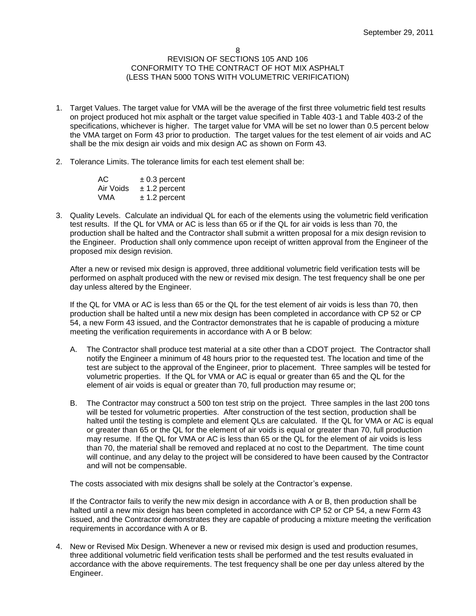- 1. Target Values. The target value for VMA will be the average of the first three volumetric field test results on project produced hot mix asphalt or the target value specified in Table 403-1 and Table 403-2 of the specifications, whichever is higher. The target value for VMA will be set no lower than 0.5 percent below the VMA target on Form 43 prior to production. The target values for the test element of air voids and AC shall be the mix design air voids and mix design AC as shown on Form 43.
- 2. Tolerance Limits. The tolerance limits for each test element shall be:

| AC.       | $\pm$ 0.3 percent |
|-----------|-------------------|
| Air Voids | $± 1.2$ percent   |
| VMA       | $± 1.2$ percent   |

3. Quality Levels. Calculate an individual QL for each of the elements using the volumetric field verification test results. If the QL for VMA or AC is less than 65 or if the QL for air voids is less than 70, the production shall be halted and the Contractor shall submit a written proposal for a mix design revision to the Engineer. Production shall only commence upon receipt of written approval from the Engineer of the proposed mix design revision.

After a new or revised mix design is approved, three additional volumetric field verification tests will be performed on asphalt produced with the new or revised mix design. The test frequency shall be one per day unless altered by the Engineer.

If the QL for VMA or AC is less than 65 or the QL for the test element of air voids is less than 70, then production shall be halted until a new mix design has been completed in accordance with CP 52 or CP 54, a new Form 43 issued, and the Contractor demonstrates that he is capable of producing a mixture meeting the verification requirements in accordance with A or B below:

- A. The Contractor shall produce test material at a site other than a CDOT project. The Contractor shall notify the Engineer a minimum of 48 hours prior to the requested test. The location and time of the test are subject to the approval of the Engineer, prior to placement. Three samples will be tested for volumetric properties. If the QL for VMA or AC is equal or greater than 65 and the QL for the element of air voids is equal or greater than 70, full production may resume or;
- B. The Contractor may construct a 500 ton test strip on the project. Three samples in the last 200 tons will be tested for volumetric properties. After construction of the test section, production shall be halted until the testing is complete and element QLs are calculated. If the QL for VMA or AC is equal or greater than 65 or the QL for the element of air voids is equal or greater than 70, full production may resume. If the QL for VMA or AC is less than 65 or the QL for the element of air voids is less than 70, the material shall be removed and replaced at no cost to the Department. The time count will continue, and any delay to the project will be considered to have been caused by the Contractor and will not be compensable.

The costs associated with mix designs shall be solely at the Contractor's expense.

If the Contractor fails to verify the new mix design in accordance with A or B, then production shall be halted until a new mix design has been completed in accordance with CP 52 or CP 54, a new Form 43 issued, and the Contractor demonstrates they are capable of producing a mixture meeting the verification requirements in accordance with A or B.

4. New or Revised Mix Design. Whenever a new or revised mix design is used and production resumes, three additional volumetric field verification tests shall be performed and the test results evaluated in accordance with the above requirements. The test frequency shall be one per day unless altered by the Engineer.